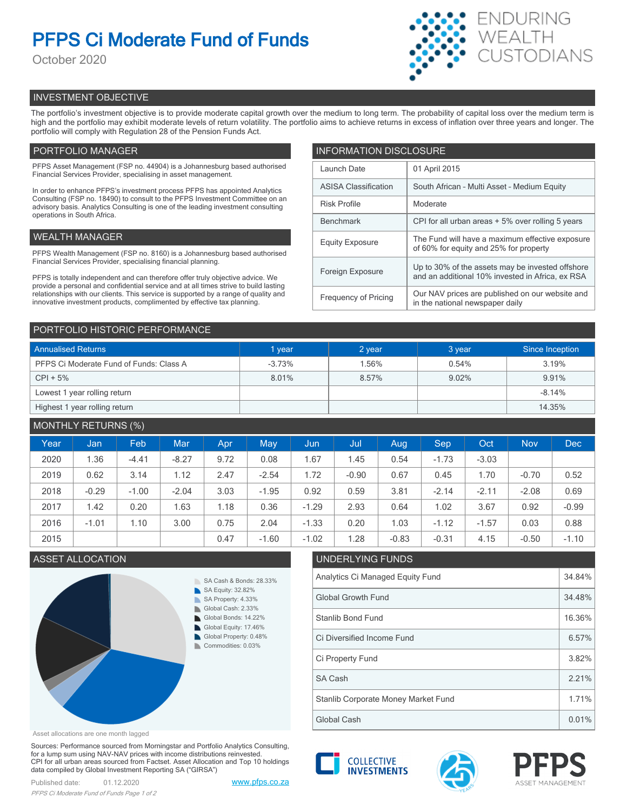# **PFPS Ci Moderate Fund of Funds**

October 2020



# INVESTMENT OBJECTIVE

The portfolio's investment objective is to provide moderate capital growth over the medium to long term. The probability of capital loss over the medium term is high and the portfolio may exhibit moderate levels of return volatility. The portfolio aims to achieve returns in excess of inflation over three years and longer. The portfolio will comply with Regulation 28 of the Pension Funds Act.

# PORTFOLIO MANAGER

PFPS Asset Management (FSP no. 44904) is a Johannesburg based authorised Financial Services Provider, specialising in asset management.

In order to enhance PFPS's investment process PFPS has appointed Analytics Consulting (FSP no. 18490) to consult to the PFPS Investment Committee on an advisory basis. Analytics Consulting is one of the leading investment consulting operations in South Africa.

## WEALTH MANAGER

PFPS Wealth Management (FSP no. 8160) is a Johannesburg based authorised Financial Services Provider, specialising financial planning.

PFPS is totally independent and can therefore offer truly objective advice. We provide a personal and confidential service and at all times strive to build lasting relationships with our clients. This service is supported by a range of quality and innovative investment products, complimented by effective tax planning.

| <b>INFORMATION DISCLOSURE</b> |                                                                                                      |  |  |  |  |
|-------------------------------|------------------------------------------------------------------------------------------------------|--|--|--|--|
| Launch Date                   | 01 April 2015                                                                                        |  |  |  |  |
| <b>ASISA Classification</b>   | South African - Multi Asset - Medium Equity                                                          |  |  |  |  |
| <b>Risk Profile</b>           | Moderate                                                                                             |  |  |  |  |
| <b>Benchmark</b>              | CPI for all urban areas + 5% over rolling 5 years                                                    |  |  |  |  |
| <b>Equity Exposure</b>        | The Fund will have a maximum effective exposure<br>of 60% for equity and 25% for property            |  |  |  |  |
| Foreign Exposure              | Up to 30% of the assets may be invested offshore<br>and an additional 10% invested in Africa, ex RSA |  |  |  |  |
| <b>Frequency of Pricing</b>   | Our NAV prices are published on our website and<br>in the national newspaper daily                   |  |  |  |  |

## PORTFOLIO HISTORIC PERFORMANCE

| <b>Annualised Returns</b>               | 1 year   | 2 year | 3 year | Since Inception |
|-----------------------------------------|----------|--------|--------|-----------------|
| PFPS Ci Moderate Fund of Funds: Class A | $-3.73%$ | 1.56%  | 0.54%  | 3.19%           |
| $CPI + 5%$                              | 8.01%    | 8.57%  | 9.02%  | 9.91%           |
| Lowest 1 year rolling return            |          |        |        | $-8.14%$        |
| Highest 1 year rolling return           |          |        |        | 14.35%          |

## MONTHLY RETURNS (%)

| Year | Jan     | Feb.    | <b>Mar</b> | Apr. | May     | Jun     | Jul     | Aug     | <b>Sep</b> | Oct     | <b>Nov</b> | <b>Dec</b> |
|------|---------|---------|------------|------|---------|---------|---------|---------|------------|---------|------------|------------|
| 2020 | 1.36    | $-4.41$ | $-8.27$    | 9.72 | 0.08    | 1.67    | 1.45    | 0.54    | $-1.73$    | $-3.03$ |            |            |
| 2019 | 0.62    | 3.14    | 1.12       | 2.47 | $-2.54$ | .72     | $-0.90$ | 0.67    | 0.45       | 1.70    | $-0.70$    | 0.52       |
| 2018 | $-0.29$ | $-1.00$ | $-2.04$    | 3.03 | $-1.95$ | 0.92    | 0.59    | 3.81    | $-2.14$    | $-2.11$ | $-2.08$    | 0.69       |
| 2017 | 1.42    | 0.20    | 1.63       | 1.18 | 0.36    | $-1.29$ | 2.93    | 0.64    | 1.02       | 3.67    | 0.92       | $-0.99$    |
| 2016 | $-1.01$ | 1.10    | 3.00       | 0.75 | 2.04    | $-1.33$ | 0.20    | 1.03    | $-1.12$    | $-1.57$ | 0.03       | 0.88       |
| 2015 |         |         |            | 0.47 | $-1.60$ | $-1.02$ | 1.28    | $-0.83$ | $-0.31$    | 4.15    | $-0.50$    | $-1.10$    |

## **ASSET ALLOCATION**



|             | .02                              | 1.28                                | -0.83 | -0.31 | 4.15 | -0.50 | -1.10 |  |  |
|-------------|----------------------------------|-------------------------------------|-------|-------|------|-------|-------|--|--|
|             |                                  | UNDERLYING FUNDS                    |       |       |      |       |       |  |  |
|             | Analytics Ci Managed Equity Fund |                                     |       |       |      |       |       |  |  |
|             |                                  | <b>Global Growth Fund</b>           |       |       |      |       |       |  |  |
|             |                                  | Stanlib Bond Fund                   |       |       |      |       |       |  |  |
|             |                                  | Ci Diversified Income Fund          |       |       |      |       |       |  |  |
|             |                                  | Ci Property Fund                    |       |       |      |       | 3.82% |  |  |
|             | <b>SA Cash</b>                   | 2.21%                               |       |       |      |       |       |  |  |
|             |                                  | Stanlib Corporate Money Market Fund |       |       |      |       | 1.71% |  |  |
| Global Cash |                                  |                                     |       |       |      |       | 0.01% |  |  |

Asset allocations are one month lagged

Sources: Performance sourced from Morningstar and Portfolio Analytics Consulting, for a lump sum using NAV-NAV prices with income distributions reinvested. CPI for all urban areas sourced from Factset. Asset Allocation and Top 10 holdings data compiled by Global Investment Reporting SA ("GIRSA")

Published date: 01.12.2020 [www.pfps.co.za](https://www.pfps.co.za/) *PFPS Ci Moderate Fund of Funds Page 1 of 2*